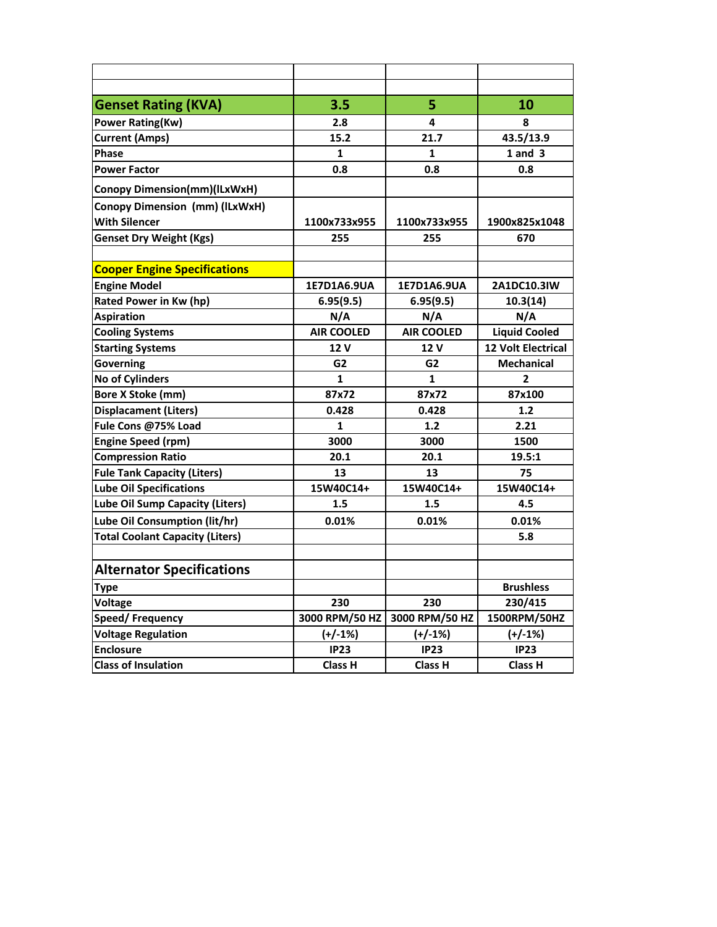| <b>Genset Rating (KVA)</b>             | 3.5               | 5                 | 10                        |
|----------------------------------------|-------------------|-------------------|---------------------------|
| <b>Power Rating(Kw)</b>                | 2.8               | 4                 | 8                         |
| <b>Current (Amps)</b>                  | 15.2              | 21.7              | 43.5/13.9                 |
| <b>Phase</b>                           | 1                 | 1                 | $1$ and $3$               |
| <b>Power Factor</b>                    | 0.8               | 0.8               | 0.8                       |
| Conopy Dimension(mm)(ILxWxH)           |                   |                   |                           |
| Conopy Dimension (mm) (ILxWxH)         |                   |                   |                           |
| <b>With Silencer</b>                   | 1100x733x955      | 1100x733x955      | 1900x825x1048             |
| <b>Genset Dry Weight (Kgs)</b>         | 255               | 255               | 670                       |
|                                        |                   |                   |                           |
| <b>Cooper Engine Specifications</b>    |                   |                   |                           |
| <b>Engine Model</b>                    | 1E7D1A6.9UA       | 1E7D1A6.9UA       | 2A1DC10.3IW               |
| Rated Power in Kw (hp)                 | 6.95(9.5)         | 6.95(9.5)         | 10.3(14)                  |
| <b>Aspiration</b>                      | N/A               | N/A               | N/A                       |
| <b>Cooling Systems</b>                 | <b>AIR COOLED</b> | <b>AIR COOLED</b> | <b>Liquid Cooled</b>      |
| <b>Starting Systems</b>                | 12 V              | 12 V              | <b>12 Volt Electrical</b> |
| Governing                              | G2                | G <sub>2</sub>    | <b>Mechanical</b>         |
| <b>No of Cylinders</b>                 | 1                 | 1                 | 2                         |
| <b>Bore X Stoke (mm)</b>               | 87x72             | 87x72             | 87x100                    |
| <b>Displacament (Liters)</b>           | 0.428             | 0.428             | 1.2                       |
| Fule Cons @75% Load                    | 1                 | 1.2               | 2.21                      |
| <b>Engine Speed (rpm)</b>              | 3000              | 3000              | 1500                      |
| <b>Compression Ratio</b>               | 20.1              | 20.1              | 19.5:1                    |
| <b>Fule Tank Capacity (Liters)</b>     | 13                | 13                | 75                        |
| <b>Lube Oil Specifications</b>         | 15W40C14+         | 15W40C14+         | 15W40C14+                 |
| Lube Oil Sump Capacity (Liters)        | 1.5               | 1.5               | 4.5                       |
| Lube Oil Consumption (lit/hr)          | 0.01%             | 0.01%             | 0.01%                     |
| <b>Total Coolant Capacity (Liters)</b> |                   |                   | 5.8                       |
|                                        |                   |                   |                           |
| <b>Alternator Specifications</b>       |                   |                   |                           |
| Type                                   |                   |                   | <b>Brushless</b>          |
| <b>Voltage</b>                         | 230               | 230               | 230/415                   |
| Speed/Frequency                        | 3000 RPM/50 HZ    | 3000 RPM/50 HZ    | 1500RPM/50HZ              |
| <b>Voltage Regulation</b>              | $(+/-1%)$         | $(+/-1%)$         | $(+/-1%)$                 |
| <b>Enclosure</b>                       | IP23              | <b>IP23</b>       | IP23                      |
| <b>Class of Insulation</b>             | <b>Class H</b>    | <b>Class H</b>    | <b>Class H</b>            |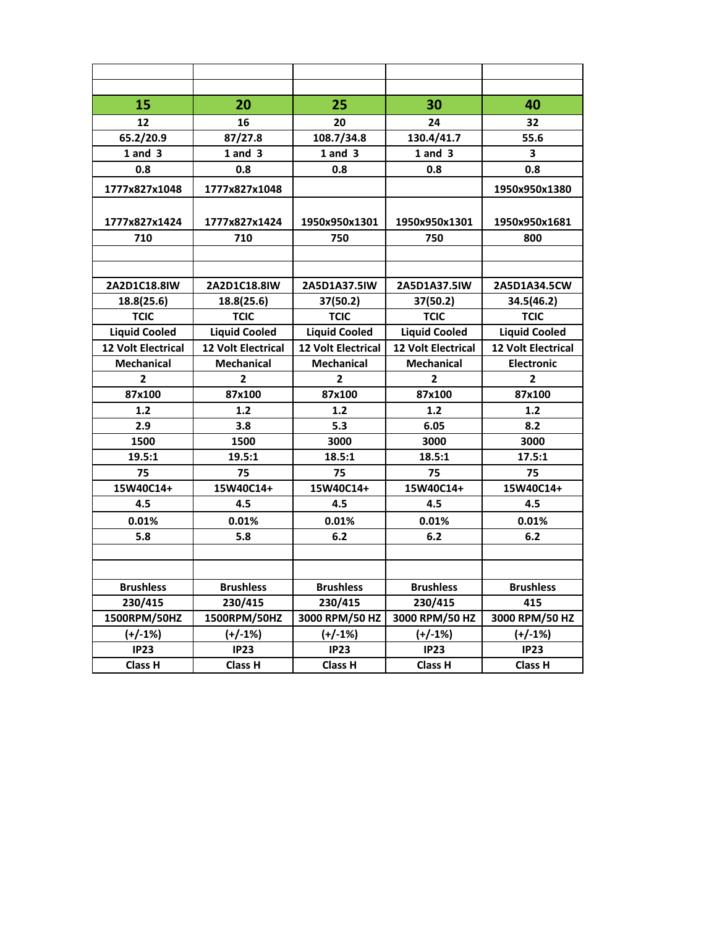| 15                        | 20                        | 25                        | 30                        | 40                        |
|---------------------------|---------------------------|---------------------------|---------------------------|---------------------------|
| 12                        | 16                        | 20                        | 24                        | 32                        |
| 65.2/20.9                 | 87/27.8                   | 108.7/34.8                | 130.4/41.7                | 55.6                      |
| $1$ and $3$               | $1$ and $3$               | $1$ and $3$               | $1$ and $3$               | 3                         |
| 0.8                       | 0.8                       | 0.8                       | 0.8                       | 0.8                       |
| 1777x827x1048             | 1777x827x1048             |                           |                           | 1950x950x1380             |
|                           |                           |                           |                           |                           |
| 1777x827x1424             | 1777x827x1424             | 1950x950x1301             | 1950x950x1301             | 1950x950x1681             |
| 710                       | 710                       | 750                       | 750                       | 800                       |
|                           |                           |                           |                           |                           |
|                           |                           |                           |                           |                           |
| 2A2D1C18.8IW              | 2A2D1C18.8IW              | 2A5D1A37.5IW              | 2A5D1A37.5IW              | 2A5D1A34.5CW              |
| 18.8(25.6)                | 18.8(25.6)                | 37(50.2)                  | 37(50.2)                  | 34.5(46.2)                |
| <b>TCIC</b>               | <b>TCIC</b>               | <b>TCIC</b>               | <b>TCIC</b>               | <b>TCIC</b>               |
| <b>Liquid Cooled</b>      | <b>Liquid Cooled</b>      | <b>Liquid Cooled</b>      | <b>Liquid Cooled</b>      | <b>Liquid Cooled</b>      |
| <b>12 Volt Electrical</b> | <b>12 Volt Electrical</b> | <b>12 Volt Electrical</b> | <b>12 Volt Electrical</b> | <b>12 Volt Electrical</b> |
| <b>Mechanical</b>         | <b>Mechanical</b>         | <b>Mechanical</b>         | <b>Mechanical</b>         | <b>Electronic</b>         |
| $\mathbf{2}$              | $\overline{2}$            | $\overline{2}$            | $\mathbf{2}$              | $\overline{2}$            |
| 87x100                    | 87x100                    | 87x100                    | 87x100                    | 87x100                    |
| 1.2                       | 1.2                       | 1.2                       | 1.2                       | 1.2                       |
| 2.9                       | 3.8                       | 5.3                       | 6.05                      | 8.2                       |
| 1500                      | 1500                      | 3000                      | 3000                      | 3000                      |
| 19.5:1                    | 19.5:1                    | 18.5:1                    | 18.5:1                    | 17.5:1                    |
| 75                        | 75                        | 75                        | 75                        | 75                        |
| 15W40C14+                 | 15W40C14+                 | 15W40C14+                 | 15W40C14+                 | 15W40C14+                 |
| 4.5                       | 4.5                       | 4.5                       | 4.5                       | 4.5                       |
| 0.01%                     | 0.01%                     | 0.01%                     | 0.01%                     | 0.01%                     |
| 5.8                       | 5.8                       | 6.2                       | 6.2                       | 6.2                       |
|                           |                           |                           |                           |                           |
|                           |                           |                           |                           |                           |
| <b>Brushless</b>          | <b>Brushless</b>          | <b>Brushless</b>          | <b>Brushless</b>          | <b>Brushless</b>          |
| 230/415                   | 230/415                   | 230/415                   | 230/415                   | 415                       |
| 1500RPM/50HZ              | 1500RPM/50HZ              | 3000 RPM/50 HZ            | 3000 RPM/50 HZ            | 3000 RPM/50 HZ            |
| $(+/-1%)$                 | $(+/-1%)$                 | $(+/-1%)$                 | $(+/-1%)$                 | $(+/-1%)$                 |
| IP23                      | IP23                      | IP23                      | IP23                      | IP23                      |
| <b>Class H</b>            | Class H                   | <b>Class H</b>            | <b>Class H</b>            | <b>Class H</b>            |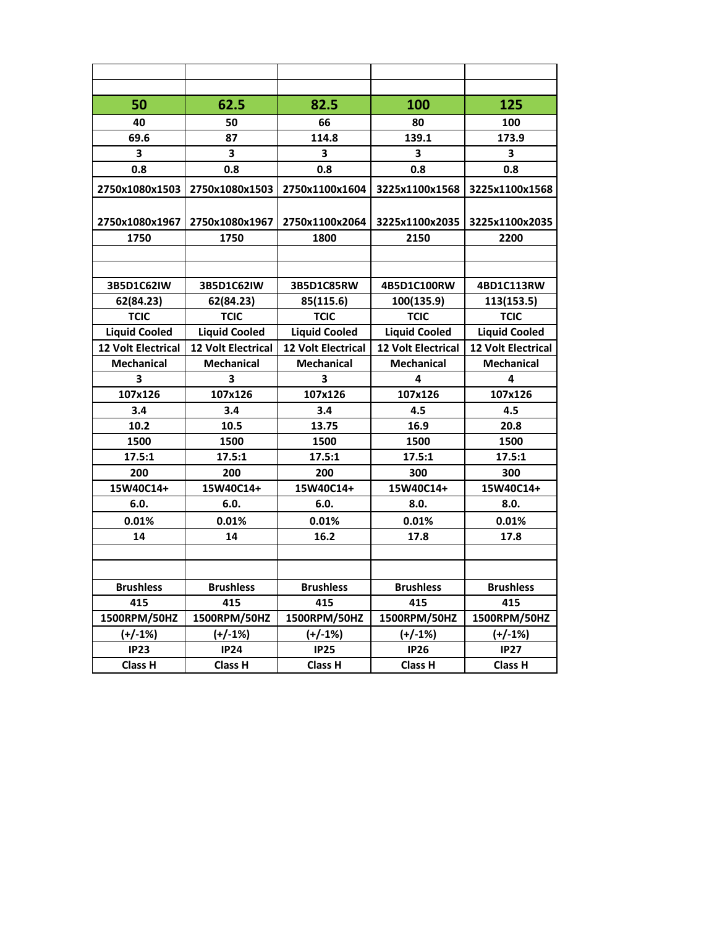| 50                        | 62.5                      | 82.5                      | 100                       | 125                       |
|---------------------------|---------------------------|---------------------------|---------------------------|---------------------------|
| 40                        | 50                        | 66                        | 80                        | 100                       |
| 69.6                      | 87                        | 114.8                     | 139.1                     | 173.9                     |
| $\overline{\mathbf{3}}$   | 3                         | 3                         | 3                         | 3                         |
| 0.8                       | 0.8                       | 0.8                       | 0.8                       | 0.8                       |
| 2750x1080x1503            | 2750x1080x1503            | 2750x1100x1604            | 3225x1100x1568            | 3225x1100x1568            |
| 2750x1080x1967            | 2750x1080x1967            | 2750x1100x2064            | 3225x1100x2035            | 3225x1100x2035            |
| 1750                      | 1750                      | 1800                      | 2150                      | 2200                      |
|                           |                           |                           |                           |                           |
|                           |                           |                           |                           |                           |
| 3B5D1C62IW                | 3B5D1C62IW                | 3B5D1C85RW                | 4B5D1C100RW               | 4BD1C113RW                |
| 62(84.23)                 | 62(84.23)                 | 85(115.6)                 | 100(135.9)                | 113(153.5)                |
| <b>TCIC</b>               | <b>TCIC</b>               | <b>TCIC</b>               | <b>TCIC</b>               | <b>TCIC</b>               |
| <b>Liquid Cooled</b>      | <b>Liquid Cooled</b>      | <b>Liquid Cooled</b>      | <b>Liquid Cooled</b>      | <b>Liquid Cooled</b>      |
| <b>12 Volt Electrical</b> | <b>12 Volt Electrical</b> | <b>12 Volt Electrical</b> | <b>12 Volt Electrical</b> | <b>12 Volt Electrical</b> |
| <b>Mechanical</b>         | <b>Mechanical</b>         | <b>Mechanical</b>         | <b>Mechanical</b>         | <b>Mechanical</b>         |
| 3                         | 3                         | 3                         | 4                         | 4                         |
| 107x126                   | 107x126                   | 107x126                   | 107x126                   | 107x126                   |
| 3.4                       | 3.4                       | 3.4                       | 4.5                       | 4.5                       |
| 10.2                      | 10.5                      | 13.75                     | 16.9                      | 20.8                      |
| 1500                      | 1500                      | 1500                      | 1500                      | 1500                      |
| 17.5:1                    | 17.5:1                    | 17.5:1                    | 17.5:1                    | 17.5:1                    |
| 200                       | 200                       | 200                       | 300                       | 300                       |
| 15W40C14+                 | 15W40C14+                 | 15W40C14+                 | 15W40C14+                 | 15W40C14+                 |
| 6.0.                      | 6.0.                      | 6.0.                      | 8.0.                      | 8.0.                      |
| 0.01%                     | 0.01%                     | 0.01%                     | 0.01%                     | 0.01%                     |
| 14                        | 14                        | 16.2                      | 17.8                      | 17.8                      |
|                           |                           |                           |                           |                           |
|                           |                           |                           |                           |                           |
| <b>Brushless</b>          | <b>Brushless</b>          | <b>Brushless</b>          | <b>Brushless</b>          | <b>Brushless</b>          |
| 415                       | 415                       | 415                       | 415                       | 415                       |
| 1500RPM/50HZ              | 1500RPM/50HZ              | 1500RPM/50HZ              | 1500RPM/50HZ              | 1500RPM/50HZ              |
| $(+/-1%)$                 | $(+/-1%)$                 | $(+/-1%)$                 | $(+/-1%)$                 | $(+/-1%)$                 |
| IP23                      | <b>IP24</b>               | <b>IP25</b>               | <b>IP26</b>               | IP27                      |
| Class H                   | <b>Class H</b>            | <b>Class H</b>            | <b>Class H</b>            | <b>Class H</b>            |